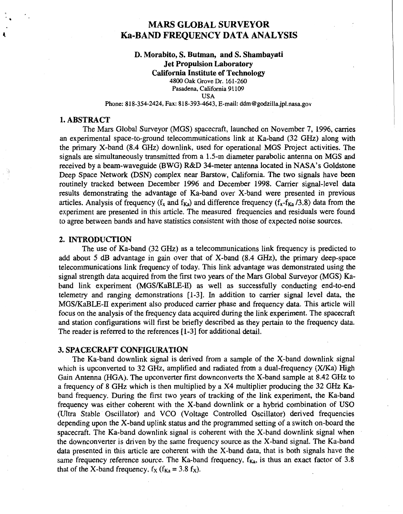# **MARS GLOBAL SURVEYOR Ka-BAND FREQUENCY DATA ANALYSIS**

## **D. Morabito, S. Butman, and S. Shambayati Jet Propulsion Laboratory California Institute of Technology 4800 Oak Grove** Dr. **161-260 Pasadena, California 9 1 109 USA**

**Phone: 818-354-2424, Fax: 818-393-4643, E-mail: [ddm@godziIla.jpl.nasa.go](mailto:ddm@godziIla.jpl.nasa.gov)v** 

## **1. ABSTRACT**

**4** 

The Mars Global Surveyor (MGS) spacecraft, launched on November **7, 1996,** carries an experimental space-to-ground telecommunications link at Ka-band **(32** *GHz)* along with the primary X-band **(8.4** GHz) downlink, used for operational MGS Project activities. The signals are simultaneously transmitted from a **1.5-m** diameter parabolic antenna on MGS and received by a beam-waveguide (BWG) R&D 34-meter antenna located in NASA's Goldstone Deep Space Network **@SN)** complex near Barstow, California. The two signals have been routinely tracked between December **1996** and December **1998.** Carrier signal-level data results demonstrating the advantage of Ka-band over X-band were presented in previous articles. Analysis of frequency ( $f_x$  and  $f_{Ka}$ ) and difference frequency ( $f_x$ - $f_{Ka}$  /3.8) data from the experiment are presented in this article. The measured frequencies and residuals were found to agree between bands and have statistics consistent with those of expected noise sources.

## **2. INTRODUCTION**

The use of Ka-band  $(32 \text{ GHz})$  as a telecommunications link frequency is predicted to add about 5 dB advantage in gain over that of X-band **(8.4** GHz), the primary deep-space telecommunications link frequency of today. This link advantage was demonstrated using the signal strength data acquired from the first two years of the Mars Global Surveyor (MGS) Kaband link experiment (MGSKaBLE-II) as well **as** successfully conducting end-to-end telemetry and ranging demonstrations **[l-31.** In addition to carrier signal level data, the MGSKaBLE-II experiment also produced carrier phase and frequency data. This article will focus on the analysis of the frequency data acquired during the link experiment. The spacecraft and station configurations will first be briefly described as they pertain to the frequency data. The reader is referred to the references [ 1-31 for additional detail.

## **3. SPACECRAFT CONFIGURATION**

The Ka-band downlink signal is derived from a sample of the X-band downlink signal which is upconverted to 32 GHz, amplified and radiated from a dual-frequency  $(X/Ka)$  High Gain Antenna (HGA). The upconverter first downconverts the X-band sample at **8.42** *GHz* to a frequency of **8** GHz which is then multiplied by a X4 multiplier producing the **32** *GHz* Kaband frequency. During the first two years of tracking of the link experiment, the Ka-band frequency was either coherent with the X-band downlink or a hybrid combination of US0 (Ultra Stable Oscillator) and VCO (Voltage Controlled Oscillator) derived frequencies depending upon the X-band uplink status and the programmed setting of a switch on-board the spacecraft. The Ka-band downlink signal is coherent with the X-band downlink signal when the downconverter is driven by the same frequency source as the X-band signal. The Ka-band data presented in this article are coherent with the X-band data, that is both signals have the same frequency reference source. The Ka-band frequency,  $f_{Ka}$ , is thus an exact factor of 3.8 that of the X-band frequency,  $f_X$  ( $f_{Ka} = 3.8$   $f_X$ ).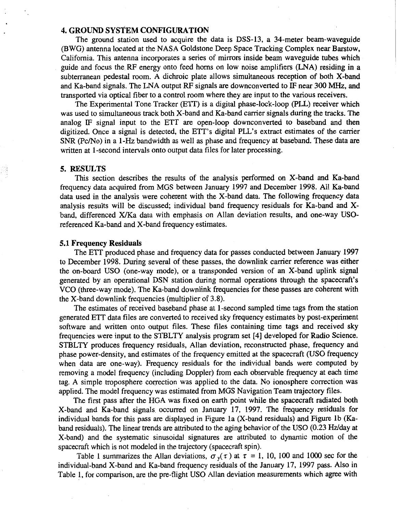## **4. GROUND SYSTEM CONFIGURATION**

The ground station used to acquire the data is DSS-13, a 34-meter beam-waveguide (BWG) antenna located at the NASA Goldstone Deep Space Tracking Complex near Barstow, California. This antenna incorporates a series of mirrors inside beam waveguide tubes which guide and focus the. RF energy onto feed horns on low noise amplifiers (LNA) residing in a subterranean pedestal room. A dichroic plate allows simultaneous reception of both X-band and Ka-band signals. The LNA output RF signals are downconverted to IF near *300 MHz,* and transported via optical fiber to a control room where they are input to the various receivers.

The Experimental Tone Tracker (ETT) is a digital phase-lock-loop (PLL) receiver which was used to simultaneous track both X-band and Ka-band carrier signals during the tracks. The analog IF signal input to the ETT are open-loop downconverted to baseband and then digitized. Once a signal is detected, the ETT's digital PLL's extract estimates of the carrier *SNR* (pc/No) in a 1-Hz bandwidth as well as phase and frequency at baseband. These data are written at 1-second intervals onto output data files for later processing.

#### **5. RESULTS**

This section describes the results of the analysis performed on X-band and Ka-band frequency data acquired from MGS between January **1997** and December **1998.** All Ka-band data used in the analysis were coherent with the X-band data. The following frequency data analysis results will be discussed; individual band frequency residuals for Ka-band and X band, differenced X/Ka data with emphasis on Allan deviation results, and one-way **USO**referenced Ka-band and X-band frequency estimates.

#### **5.1 Frequency Residuals**

The ETT produced phase and frequency data for passes conducted between January **1997**  to December **1998.** During several of these passes, the downlink carrier reference was either the on-board **US0** (one-way mode), or a transponded version of an X-band uplink signal generated by an operational DSN station during normal operations through the spacecraft's VCO (three-way mode). The Ka-band downlink frequencies for these passes are coherent with the X-band downlink frequencies (multiplier of**3.8).** 

The estimates of received baseband phase at 1-second sampled time tags from the station generated ETT data files are converted to received sky frequency estimates bypost-experiment software and written onto output files. These files containing time tags and received sky frequencies were input to the STBLTY analysis program set [4] developed for Radio Science. STBLTY produces frequency residuals, Allan deviation, reconstructed phase, frequency and phase power-density, and estimates of the frequency emitted at the spacecraft **(US0** frequency when data are one-way). Frequency residuals for the individual bands were computed by removing a model frequency (including Doppler) from each observable frequency at each time tag. A simple troposphere correction was applied to the data. No ionosphere correction was applied. The model frequency was estimated from MGS Navigation Team trajectory files.

The first pass after the HGA was fixed on earth point while the spacecraft radiated both X-band and Ka-band signals. occurred on January **17, 1997.** The frequency residuals for individual bands for this pass are displayed in Figure la (X-band residuals) and Figure lb (Kaband residuals). The linear trends are attributed to the aging behavior of the USO  $(0.23 \text{ Hz/day at }$ X-band) and the systematic sinusoidal signatures are attributed to dynamic motion of the spacecraft which is not modeled in the trajectory (spacecraft spin).

[Table](#page-2-0) 1 summarizes the Allan deviations,  $\sigma_y(\tau)$  at  $\tau = 1$ , 10, 100 and 1000 sec for the individual-band X-band and Ka-band frequency residuals of the January **17, 1997** pass. Also in Table I, for comparison, are the pre-flight **US0** Allan deviation measurements which agree with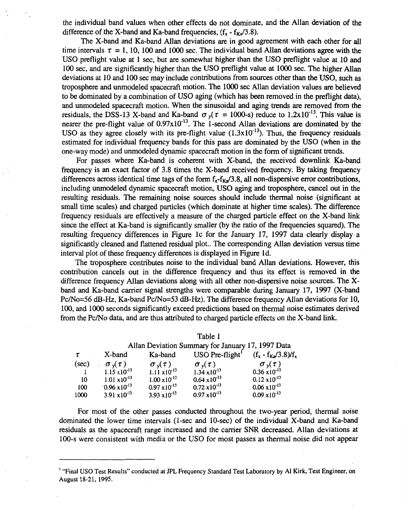<span id="page-2-0"></span>the individual band values when other effects do not dominate, and the Allan deviation of the difference of the X-band and Ka-band frequencies,  $(f_x - f_{\kappa} / 3.8)$ .

The X-band and Ka-band Allan deviations are in good agreement with each other for all time intervals  $\tau = 1$ , 10, 100 and 1000 sec. The individual band Allan deviations agree with the US0 preflight value at 1 sec, but are somewhat higher than the **US0** preflight value at 10 and 100 sec, and are significantly higher than the **US0** preflight value at lo00 *sec.* The higher Allan deviations at 10 and 100 sec may include contributions from sources other than the **USO,** such as troposphere and unmodeled spacecraft motion. The **lo00** sec Allan deviation values are believed to be dominated by a combination of **US0** aging (which has been removed in the preflight data), and unmodeled spacecraft motion. When the sinusoidal and aging trends are removed from the residuals, the DSS-13 X-band and Ka-band  $\sigma_{v}(\tau = 1000-s)$  reduce to 1.2x10<sup>-13</sup>. This value is nearer the pre-flight value of  $0.97 \times 10^{-13}$ . The 1-second Allan deviations are dominated by the USO as they agree closely with its pre-flight value  $(1.3 \times 10^{-13})$ . Thus, the frequency residuals estimated for individual frequency bands for this pass are dominated by the **US0** (when in the one-way mode) and unmodeled dynamic spacecraft motion in the form of significant trends.

For passes where Ka-band is coherent with X-band, the received downlink Ka-band frequency **is** an exact factor of 3.8 times the X-band received frequency. By taking frequency differences across identical time tags of the form  $f_x - f_{ka}/3.8$ , all non-dispersive error contributions, including unmodeled dynamic spacecraft motion, **US0** aging and troposphere, cancel out in the resulting residuals. The remaining noise sources should include thermal noise (significant at small time scales) and charged particles (which dominate at higher time scales). The difference frequency residuals are effectively a measure of the charged particle effect on the X-band link since the effect at Ka-band is significantly smaller (by the ratio of the frequencies squared). The resulting frequency differences in Figure IC for the January 17, 1997 data clearly display a significantly cleaned and flattened residual plot.. The corresponding Allan deviation versus time interval plot of these frequency differences is displayed in Figure Id.

The troposphere contributes noise to the individual band Allan deviations. However, this contribution cancels out in the difference frequency and thus its effect is removed in the difference frequency Allan deviations along with all other non-dispersive noise sources. The Xband and Ka-band carrier signal strengths were comparable during January 17, 1997 (X-band Pc/N0=56 *&-Hz,* Ka-band Pc/No=53 *&-Hz).* The difference frequency Allan deviations for 10, 100, and lo00 seconds significantly exceed predictions based on thermal noise estimates derived from the Pc/No data, and are thus attributed to charged particle effects on the X-band link.

Table 1

|       | Allan Deviation Summary for January 17, 1997 Data |                        |                               |                          |  |  |  |
|-------|---------------------------------------------------|------------------------|-------------------------------|--------------------------|--|--|--|
|       | X-band                                            | Ka-band                | $USO$ Pre-flight <sup>1</sup> | $(f_x - f_{Ka}/3.8)/f_x$ |  |  |  |
| (sec) | $\sigma_{v}(\tau)$                                | $\sigma_{v}(\tau)$     | $\sigma_{v}(\tau)$            | $\sigma_{v}(\tau)$       |  |  |  |
|       | $1.15 \times 10^{-13}$                            | $1.11 \times 10^{-13}$ | $1.34 \times 10^{-13}$        | $0.36 \times 10^{-13}$   |  |  |  |
| 10    | $1.01 \times 10^{-13}$                            | $1.00 \times 10^{-13}$ | $0.64 \times 10^{-13}$        | $0.12 \times 10^{-13}$   |  |  |  |
| 100   | $0.96 \times 10^{-13}$                            | $0.97 \times 10^{-13}$ | $0.72 \times 10^{-13}$        | $0.06 \times 10^{-13}$   |  |  |  |
| 1000  | 3.91 $x10^{-13}$                                  | $3.93 \times 10^{-13}$ | $0.97 \times 10^{-13}$        | $0.09 \times 10^{-13}$   |  |  |  |

## For most of the other passes conducted throughout the two-year period, thermal noise dominated the lower time intervals (1-sec and 10-sec) of the individual X-band and Ka-band residuals as the spacecraft range increased and the carrier *SNR* decreased. Allan deviations at 100-s were consistent with media or the **US0** for most passes as thermal noise did not appear

<sup>&#</sup>x27; **"Final US0 Test Results" conducted at** *JPL* **Frequency Standard Test Laboratory by AI Kirk, Test Engineer, on August 18-21, 1995.**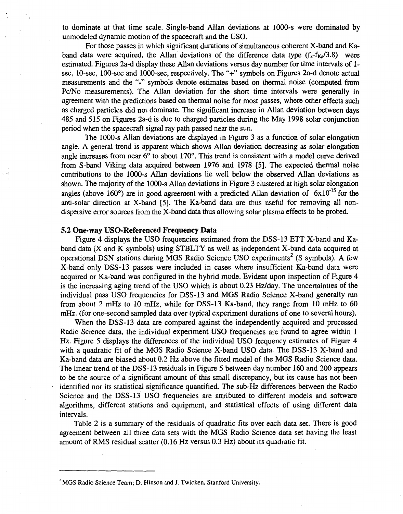to dominate at that time scale. Single-band Allan deviations at 1000-s were dominated **by**  unmodeled dynamic motion of the spacecraft and the USO.

For those passes in which significant durations of simultaneous coherent X-band and Kaband data were acquired, the Allan deviations of the difference data type  $(f_x - f_{xa}/3.8)$  were estimated. Figures 2a-d display these Allan deviations versus day number for time intervals of 1 sec, 10-sec, 100-sec and 1OOO-sec, respectively. The "+" symbols on Figures 2a-d denote actual measurements and the **"1"** symbols denote estimates based on thermal noise (computed from Pc/No measurements). The Allan deviation for the short time intervals were generally in agreement with the predictions based on thermal noise for most passes, where other effects such as charged particles did not dominate. The significant increase in Allan deviation between days 485 and 515 on Figures 2a-d is due to charged particles during the May 1998 solar conjunction period when the spacecraft signal ray path passed near the sun.

The 1000-s Allan deviations are displayed in Figure 3 as a function of solar elongation angle. A general trend is apparent which shows Allan deviation decreasing as solar elongation angle increases from near 6° to about 170°. This trend is consistent with a model curve derived from S-band Viking data acquired between 1976 and 1978 **[SI.** The expected thermal noise contributions to the 1O00-s Allan deviations lie well below the observed Allan deviations as shown. The majority of the 1OOO-s Allan deviations in Figure 3 clustered at high solar elongation angles (above 160 $^{\circ}$ ) are in good agreement with a predicted Allan deviation of 6x10<sup>-15</sup> for the anti-solar direction at X-band [5]. The Ka-band data are thus useful for removing all nondispersive error sources from the X-band data thus allowing solar plasma effects to be probed.

## **5.2 One-way USO-Referenced Frequency Data**

Figure 4 displays the USO frequencies estimated from the DSS-13 ETT X-band and Kaband data (X and K symbols) using STBLTY as well as independent X-band data acquired at operational DSN stations during MGS Radio Science USO experiments<sup>2</sup> (S symbols). A few X-band only DSS-13 passes were included in cases where insufficient Ka-band data were acquired or Ka-band was configured in the hybrid mode. Evident upon inspection of Figure **4**  is the increasing aging trend of the USO which is about 0.23 Hz/day. The uncertainties of the individual pass US0 frequencies for DSS-13 and MGS Radio Science X-band generally run from about 2 mHz to 10 mHz, while for DSS-13 Ka-band, they range from 10 mHz to 60 mHz. (for one-second sampled data over typical experiment durations of one to several hours).

When the DSS-13 data are compared against the independently acquired and processed Radio Science data, the individual experiment **US0** frequencies are found to agree within 1 *Hz.* Figure 5 displays the differences of the individual US0 frequency estimates of Figure **4**  with a quadratic fit of the MGS Radio Science X-band US0 data. The DSS-13 X-band and Ka-band data are biased about *0.2 Hz* above the fitted model of the MGS Radio Science data. The linear trend of the DSS-13 residuals in Figure 5 between day number 160 and 200 appears to be the source of a significant amount of this small discrepancy, but its cause has not been . identified nor its statistical significance quantified. The sub-Hz differences between the Radio Science and the DSS-13 US0 frequencies are attributed to different models and software algorithms, different stations and equipment, and statistical effects of using different data . intervals.

[Table 2](#page-4-0) is a summary of the residuals of quadratic fits over each data set. There is good agreement between all three data sets with the MGS Radio Science data set having the least amount of RMS residual scatter (0.16 **Hz** versus 0.3 **Hz)** about its quadratic fit.

MGS Radio Science Team; D. Hinson and J. Twicken, Stanford University.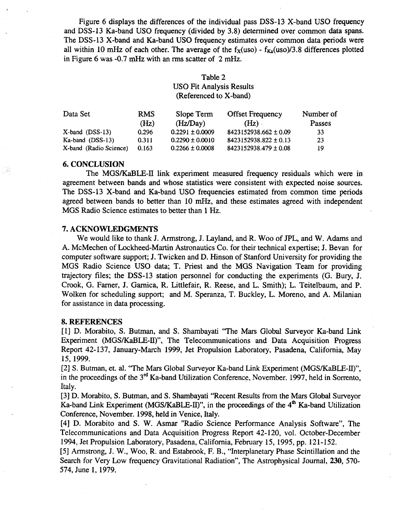<span id="page-4-0"></span>Figure *6* displays the differences of the individual pass DSS-13 X-band **US0** frequency and DSS-13 Ka-band US0 frequency (divided by 3.8) determined over common data spans. The DSS-13 X-band and Ka-band **US0** frequency estimates over common data periods were all within 10 mHz of each other. The average of the  $f_X(uso)$  -  $f_{Ka}(uso)/3.8$  differences plotted in Figure *6* was -0.7 *mHz* with an rms scatter of **2** mHz.

## Table **2**  US0 Fit Analysis Results (Referenced to X-band)

| <b>RMS</b> | Slope Term          | <b>Offset Frequency</b>   | Number of |
|------------|---------------------|---------------------------|-----------|
| (Hz)       | (Hz/Day)            | (Hz)                      | Passes    |
| 0.296      | $0.2291 \pm 0.0009$ | $8423152938.662 \pm 0.09$ | -33       |
| 0.311      | $0.2290 \pm 0.0010$ | $8423152938.822 \pm 0.13$ | 23        |
| 0.163      | $0.2266 \pm 0.0008$ | $8423152938.479 \pm 0.08$ | 19        |
|            |                     |                           |           |

## **6. CONCLUSION**

् इति

The MGSKaBLE-If link experiment measured frequency residuals which were in agreement between bands and whose statistics were consistent with expected noise sources. The DSS-13 X-band and Ka-band US0 frequencies estimated from common time periods agreed between bands to better than 10 *mHz,* and these estimates agreed with independent MGS Radio Science estimates to better than 1 *Hz.* 

## **7. ACKNOWLEDGMENTS**

We would like to thank J. Armstrong, J. Layland, and R. Woo of JPL, and W. Adams and A. McMechen of Lockheed-Martin Astronautics Co. for their technical expertise; J. Bevan for computer software support; J. Twicken and D. Hinson of Stanford University for providing the MGS Radio Science US0 data; T. Priest and the MGS Navigation Team for providing trajectory files; the **DSS-13** station personnel for conducting the experiments *(G.* Bury, J. Crook, G. Farner, J. Garnica, R. Littlefair, R. Reese, and L. Smith); L. Teitelbaum, and P. Wolken for scheduling support; and M. Speranza, T. Buckley, L. Moreno, and A. Milanian for assistance in data processing.

### **8. REFERENCES**

[l] D. Morabito, **S.** Butman, and **S.** Shambayati "The Mars Global Surveyor Ka-band Link Experiment (MGS/KaBLE-II)", The Telecommunications and Data Acquisition Progress Report 42-137, January-March 1999, Jet Propulsion Laboratory, Pasadena, California, May 15, 1999.

[2] **S.** Butman, et. al. "The Mars Global Surveyor Ka-band Link Experiment (MGSKaBLE-II)", in the proceedings of the  $3<sup>rd</sup>$  Ka-band Utilization Conference, November. 1997, held in Sorrento, Italy.

[3] D. Morabito, **S.** Butman, and **S.** Shambayati "Recent Results from the Mars Global Surveyor Ka-band Link Experiment (MGS/KaBLE-II)", in the proceedings of the 4<sup>th</sup> Ka-band Utilization Conference, November. 1998, held in Venice, Italy.

[4] D. Morabito and **S.** W. Asmar "Radio Science Performance Analysis Software", The Telecommunications and Data Acquisition Progress Report 42-120, vol. October-December 1994, Jet Propulsion Laboratory, Pasadena, California, February 15, 1995, pp. 121-152.

[5] Armstrong, J. W., Woo, R. and Estabrook, F. B., "Interplanetary Phase Scintillation and the Search for Very Low frequency Gravitational Radiation", The Astrophysical Journal, **230,** 570- 574, June 1, 1979.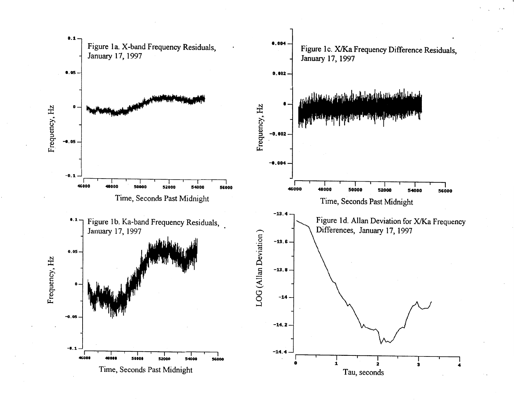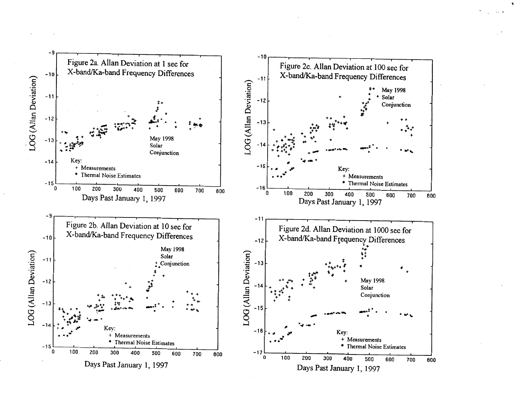